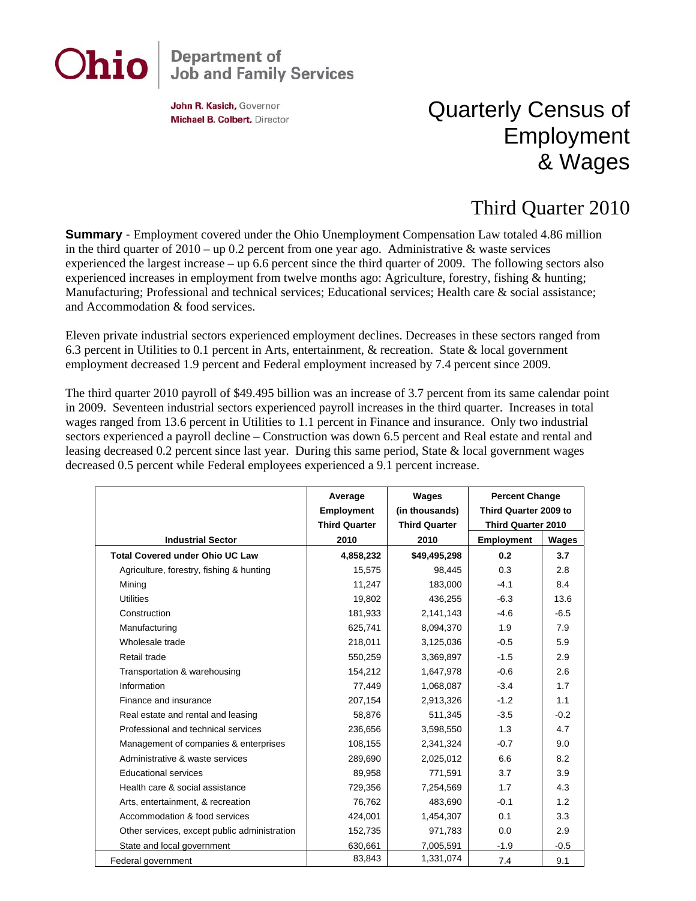# Ohio

## **Department of<br>Job and Family Services**

John R. Kasich, Governor Michael B. Colbert, Director

### Quarterly Census of Employment & Wages

#### Third Quarter 2010

**Summary** - Employment covered under the Ohio Unemployment Compensation Law totaled 4.86 million in the third quarter of 2010 – up 0.2 percent from one year ago. Administrative & waste services experienced the largest increase – up 6.6 percent since the third quarter of 2009. The following sectors also experienced increases in employment from twelve months ago: Agriculture, forestry, fishing & hunting; Manufacturing; Professional and technical services; Educational services; Health care & social assistance; and Accommodation & food services.

Eleven private industrial sectors experienced employment declines. Decreases in these sectors ranged from 6.3 percent in Utilities to 0.1 percent in Arts, entertainment, & recreation. State & local government employment decreased 1.9 percent and Federal employment increased by 7.4 percent since 2009.

The third quarter 2010 payroll of \$49.495 billion was an increase of 3.7 percent from its same calendar point in 2009. Seventeen industrial sectors experienced payroll increases in the third quarter. Increases in total wages ranged from 13.6 percent in Utilities to 1.1 percent in Finance and insurance. Only two industrial sectors experienced a payroll decline – Construction was down 6.5 percent and Real estate and rental and leasing decreased 0.2 percent since last year. During this same period, State & local government wages decreased 0.5 percent while Federal employees experienced a 9.1 percent increase.

|                                              | Average<br><b>Employment</b><br><b>Third Quarter</b> | Wages<br>(in thousands)<br><b>Third Quarter</b> | <b>Percent Change</b><br>Third Quarter 2009 to<br><b>Third Quarter 2010</b> |        |
|----------------------------------------------|------------------------------------------------------|-------------------------------------------------|-----------------------------------------------------------------------------|--------|
| <b>Industrial Sector</b>                     | 2010                                                 | 2010                                            | <b>Employment</b>                                                           | Wages  |
| <b>Total Covered under Ohio UC Law</b>       | 4,858,232                                            | \$49,495,298                                    | 0.2                                                                         | 3.7    |
| Agriculture, forestry, fishing & hunting     | 15,575                                               | 98,445                                          | 0.3                                                                         | 2.8    |
| Mining                                       | 11,247                                               | 183,000                                         | $-4.1$                                                                      | 8.4    |
| <b>Utilities</b>                             | 19,802                                               | 436,255                                         | $-6.3$                                                                      | 13.6   |
| Construction                                 | 181,933                                              | 2,141,143                                       | $-4.6$                                                                      | $-6.5$ |
| Manufacturing                                | 625,741                                              | 8,094,370                                       | 1.9                                                                         | 7.9    |
| Wholesale trade                              | 218,011                                              | 3,125,036                                       | $-0.5$                                                                      | 5.9    |
| Retail trade                                 | 550,259                                              | 3,369,897                                       | $-1.5$                                                                      | 2.9    |
| Transportation & warehousing                 | 154,212                                              | 1,647,978                                       | $-0.6$                                                                      | 2.6    |
| Information                                  | 77,449                                               | 1,068,087                                       | $-3.4$                                                                      | 1.7    |
| Finance and insurance                        | 207,154                                              | 2,913,326                                       | $-1.2$                                                                      | 1.1    |
| Real estate and rental and leasing           | 58,876                                               | 511,345                                         | $-3.5$                                                                      | $-0.2$ |
| Professional and technical services          | 236,656                                              | 3,598,550                                       | 1.3                                                                         | 4.7    |
| Management of companies & enterprises        | 108,155                                              | 2,341,324                                       | $-0.7$                                                                      | 9.0    |
| Administrative & waste services              | 289,690                                              | 2,025,012                                       | 6.6                                                                         | 8.2    |
| <b>Educational services</b>                  | 89,958                                               | 771,591                                         | 3.7                                                                         | 3.9    |
| Health care & social assistance              | 729,356                                              | 7,254,569                                       | 1.7                                                                         | 4.3    |
| Arts, entertainment, & recreation            | 76,762                                               | 483,690                                         | $-0.1$                                                                      | 1.2    |
| Accommodation & food services                | 424,001                                              | 1,454,307                                       | 0.1                                                                         | 3.3    |
| Other services, except public administration | 152,735                                              | 971,783                                         | 0.0                                                                         | 2.9    |
| State and local government                   | 630,661                                              | 7,005,591                                       | $-1.9$                                                                      | $-0.5$ |
| Federal government                           | 83,843                                               | 1,331,074                                       | 7.4                                                                         | 9.1    |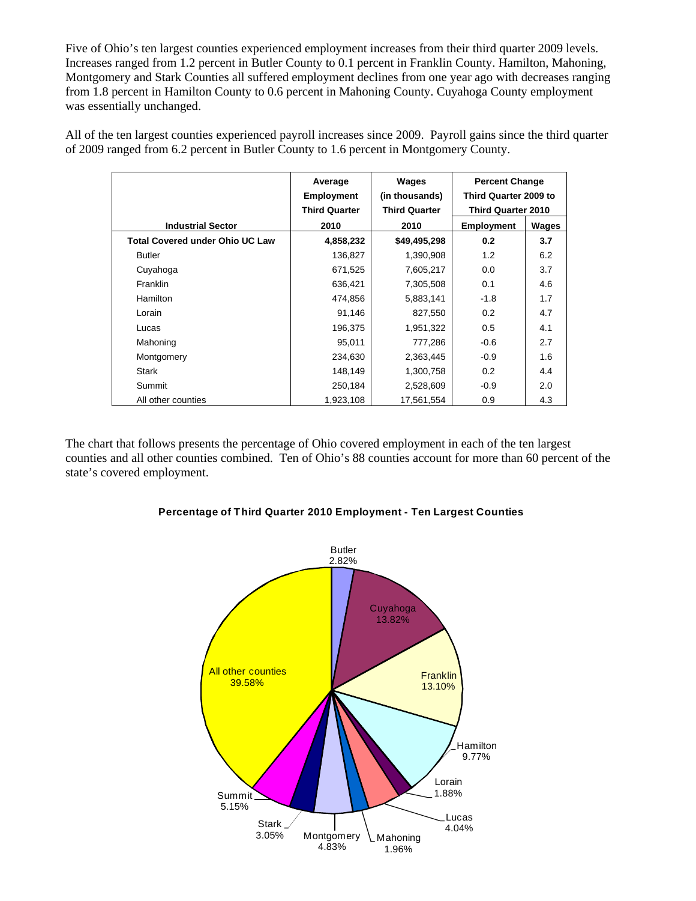Five of Ohio's ten largest counties experienced employment increases from their third quarter 2009 levels. Increases ranged from 1.2 percent in Butler County to 0.1 percent in Franklin County. Hamilton, Mahoning, Montgomery and Stark Counties all suffered employment declines from one year ago with decreases ranging from 1.8 percent in Hamilton County to 0.6 percent in Mahoning County. Cuyahoga County employment was essentially unchanged.

All of the ten largest counties experienced payroll increases since 2009. Payroll gains since the third quarter of 2009 ranged from 6.2 percent in Butler County to 1.6 percent in Montgomery County.

|                                        | Average              | Wages                | <b>Percent Change</b>     |       |
|----------------------------------------|----------------------|----------------------|---------------------------|-------|
|                                        | <b>Employment</b>    | (in thousands)       | Third Quarter 2009 to     |       |
|                                        | <b>Third Quarter</b> | <b>Third Quarter</b> | <b>Third Quarter 2010</b> |       |
| <b>Industrial Sector</b>               | 2010                 | 2010                 | <b>Employment</b>         | Wages |
| <b>Total Covered under Ohio UC Law</b> | 4,858,232            | \$49,495,298         | 0.2                       | 3.7   |
| <b>Butler</b>                          | 136,827              | 1,390,908            | 1.2                       | 6.2   |
| Cuyahoga                               | 671,525              | 7,605,217            | 0.0                       | 3.7   |
| <b>Franklin</b>                        | 636,421              | 7,305,508            | 0.1                       | 4.6   |
| Hamilton                               | 474,856              | 5,883,141            | $-1.8$                    | 1.7   |
| Lorain                                 | 91,146               | 827,550              | 0.2                       | 4.7   |
| Lucas                                  | 196,375              | 1,951,322            | 0.5                       | 4.1   |
| Mahoning                               | 95,011               | 777,286              | $-0.6$                    | 2.7   |
| Montgomery                             | 234,630              | 2,363,445            | $-0.9$                    | 1.6   |
| Stark                                  | 148,149              | 1,300,758            | 0.2                       | 4.4   |
| Summit                                 | 250,184              | 2,528,609            | $-0.9$                    | 2.0   |
| All other counties                     | 1,923,108            | 17,561,554           | 0.9                       | 4.3   |

The chart that follows presents the percentage of Ohio covered employment in each of the ten largest counties and all other counties combined. Ten of Ohio's 88 counties account for more than 60 percent of the state's covered employment.

#### **Percentage of Third Quarter 2010 Employment - Ten Largest Counties**